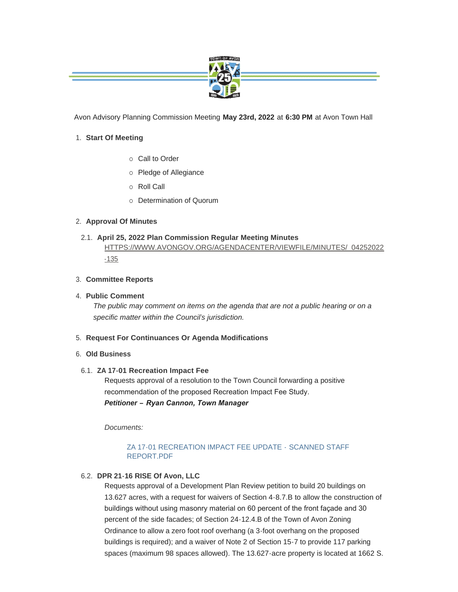

Avon Advisory Planning Commission Meeting **May 23rd, 2022** at **6:30 PM** at Avon Town Hall

## **Start Of Meeting** 1.

- $\circ$  Call to Order
- o Pledge of Allegiance
- o Roll Call
- o Determination of Quorum

# **Approval Of Minutes** 2.

**April 25, 2022 Plan Commission Regular Meeting Minutes** 2.1. [HTTPS://WWW.AVONGOV.ORG/AGENDACENTER/VIEWFILE/MINUTES/\\_04252022](https://www.avongov.org/AgendaCenter/ViewFile/Minutes/_04252022-135) -135

## **Committee Reports** 3.

**Public Comment** 4.

*The public may comment on items on the agenda that are not a public hearing or on a specific matter within the Council's jurisdiction.*

**Request For Continuances Or Agenda Modifications** 5.

## **Old Business** 6.

**ZA 17-01 Recreation Impact Fee** 6.1.

Requests approval of a resolution to the Town Council forwarding a positive recommendation of the proposed Recreation Impact Fee Study. *Petitioner – Ryan Cannon, Town Manager* 

*Documents:*

# [ZA 17-01 RECREATION IMPACT FEE UPDATE -](https://www.avongov.org/AgendaCenter/ViewFile/Item/398?fileID=391) SCANNED STAFF REPORT.PDF

### **DPR 21-16 RISE Of Avon, LLC** 6.2.

Requests approval of a Development Plan Review petition to build 20 buildings on 13.627 acres, with a request for waivers of Section 4-8.7.B to allow the construction of buildings without using masonry material on 60 percent of the front façade and 30 percent of the side facades; of Section 24-12.4.B of the Town of Avon Zoning Ordinance to allow a zero foot roof overhang (a 3-foot overhang on the proposed buildings is required); and a waiver of Note 2 of Section 15-7 to provide 117 parking spaces (maximum 98 spaces allowed). The 13.627-acre property is located at 1662 S.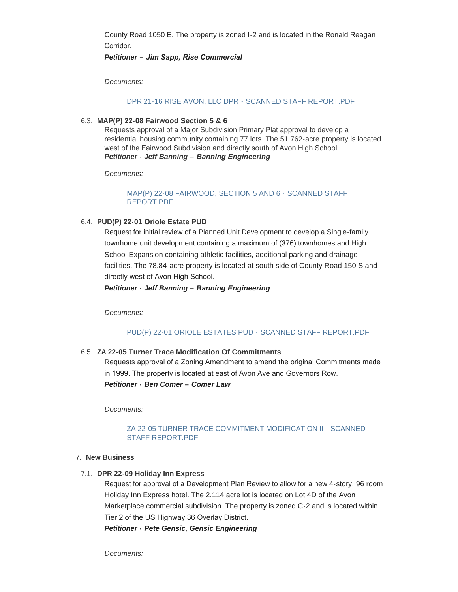County Road 1050 E. The property is zoned I-2 and is located in the Ronald Reagan Corridor.

*Petitioner – Jim Sapp, Rise Commercial* 

*Documents:*

### [DPR 21-16 RISE AVON, LLC DPR -](https://www.avongov.org/AgendaCenter/ViewFile/Item/402?fileID=387) SCANNED STAFF REPORT.PDF

### **MAP(P) 22-08 Fairwood Section 5 & 6** 6.3.

Requests approval of a Major Subdivision Primary Plat approval to develop a residential housing community containing 77 lots. The 51.762-acre property is located west of the Fairwood Subdivision and directly south of Avon High School. *Petitioner - Jeff Banning – Banning Engineering* 

*Documents:*

[MAP\(P\) 22-08 FAIRWOOD, SECTION 5 AND 6 -](https://www.avongov.org/AgendaCenter/ViewFile/Item/400?fileID=389) SCANNED STAFF REPORT.PDF

### **PUD(P) 22-01 Oriole Estate PUD**  6.4.

Request for initial review of a Planned Unit Development to develop a Single-family townhome unit development containing a maximum of (376) townhomes and High School Expansion containing athletic facilities, additional parking and drainage facilities. The 78.84-acre property is located at south side of County Road 150 S and directly west of Avon High School.

*Petitioner - Jeff Banning – Banning Engineering* 

*Documents:*

### [PUD\(P\) 22-01 ORIOLE ESTATES PUD -](https://www.avongov.org/AgendaCenter/ViewFile/Item/401?fileID=390) SCANNED STAFF REPORT.PDF

### **ZA 22-05 Turner Trace Modification Of Commitments** 6.5.

Requests approval of a Zoning Amendment to amend the original Commitments made in 1999. The property is located at east of Avon Ave and Governors Row. *Petitioner - Ben Comer – Comer Law* 

*Documents:*

### [ZA 22-05 TURNER TRACE COMMITMENT MODIFICATION II -](https://www.avongov.org/AgendaCenter/ViewFile/Item/403?fileID=392) SCANNED STAFF REPORT.PDF

#### **New Business** 7.

**DPR 22-09 Holiday Inn Express** 7.1.

Request for approval of a Development Plan Review to allow for a new 4-story, 96 room Holiday Inn Express hotel. The 2.114 acre lot is located on Lot 4D of the Avon Marketplace commercial subdivision. The property is zoned C-2 and is located within Tier 2 of the US Highway 36 Overlay District.

*Petitioner - Pete Gensic, Gensic Engineering*

*Documents:*